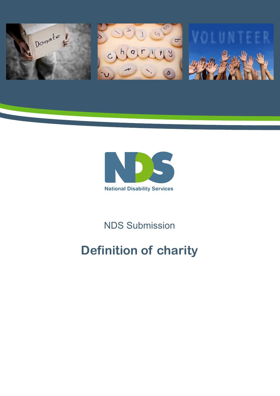



## NDS Submission

# **Definition of charity**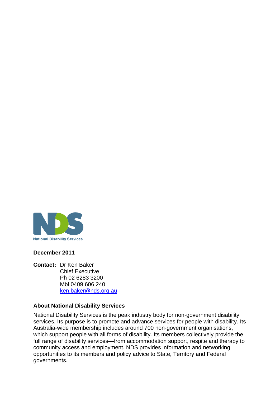

#### **December 2011**

**Contact:** Dr Ken Baker Chief Executive Ph 02 6283 3200 Mbl 0409 606 240 [ken.baker@nds.org.au](mailto:ken.baker@nds.org.au)

#### **About National Disability Services**

National Disability Services is the peak industry body for non-government disability services. Its purpose is to promote and advance services for people with disability. Its Australia-wide membership includes around 700 non-government organisations, which support people with all forms of disability. Its members collectively provide the full range of disability services—from accommodation support, respite and therapy to community access and employment. NDS provides information and networking opportunities to its members and policy advice to State, Territory and Federal governments.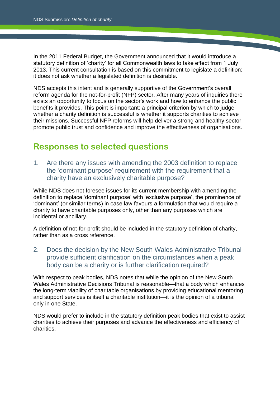In the 2011 Federal Budget, the Government announced that it would introduce a statutory definition of 'charity' for all Commonwealth laws to take effect from 1 July 2013. This current consultation is based on this commitment to legislate a definition; it does not ask whether a legislated definition is desirable.

NDS accepts this intent and is generally supportive of the Government's overall reform agenda for the not-for-profit (NFP) sector. After many years of inquiries there exists an opportunity to focus on the sector's work and how to enhance the public benefits it provides. This point is important: a principal criterion by which to judge whether a charity definition is successful is whether it supports charities to achieve their missions. Successful NFP reforms will help deliver a strong and healthy sector, promote public trust and confidence and improve the effectiveness of organisations.

### **Responses to selected questions**

1. Are there any issues with amending the 2003 definition to replace the 'dominant purpose' requirement with the requirement that a charity have an exclusively charitable purpose?

While NDS does not foresee issues for its current membership with amending the definition to replace 'dominant purpose' with 'exclusive purpose', the prominence of 'dominant' (or similar terms) in case law favours a formulation that would require a charity to have charitable purposes only, other than any purposes which are incidental or ancillary.

A definition of not-for-profit should be included in the statutory definition of charity, rather than as a cross reference.

2. Does the decision by the New South Wales Administrative Tribunal provide sufficient clarification on the circumstances when a peak body can be a charity or is further clarification required?

With respect to peak bodies, NDS notes that while the opinion of the New South Wales Administrative Decisions Tribunal is reasonable—that a body which enhances the long-term viability of charitable organisations by providing educational mentoring and support services is itself a charitable institution—it is the opinion of a tribunal only in one State.

NDS would prefer to include in the statutory definition peak bodies that exist to assist charities to achieve their purposes and advance the effectiveness and efficiency of charities.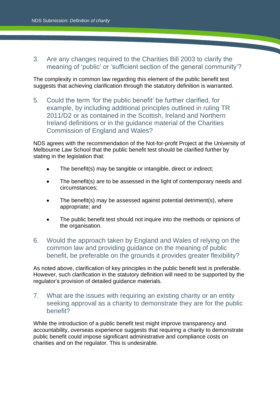#### 3. Are any changes required to the Charities Bill 2003 to clarify the meaning of 'public' or 'sufficient section of the general community'?

The complexity in common law regarding this element of the public benefit test suggests that achieving clarification through the statutory definition is warranted.

5. Could the term 'for the public benefit' be further clarified, for example, by including additional principles outlined in ruling TR 2011/D2 or as contained in the Scottish, Ireland and Northern Ireland definitions or in the guidance material of the Charities Commission of England and Wales?

NDS agrees with the recommendation of the Not-for-profit Project at the University of Melbourne Law School that the public benefit test should be clarified further by stating in the legislation that:

- The benefit(s) may be tangible or intangible, direct or indirect;
- The benefit(s) are to be assessed in the light of contemporary needs and circumstances;
- The benefit(s) may be assessed against potential detriment(s), where appropriate; and
- The public benefit test should not inquire into the methods or opinions of the organisation.
- 6. Would the approach taken by England and Wales of relying on the common law and providing guidance on the meaning of public benefit, be preferable on the grounds it provides greater flexibility?

As noted above, clarification of key principles in the public benefit test is preferable. However, such clarification in the statutory definition will need to be supported by the regulator's provision of detailed guidance materials.

7. What are the issues with requiring an existing charity or an entity seeking approval as a charity to demonstrate they are for the public benefit?

While the introduction of a public benefit test might improve transparency and accountability, overseas experience suggests that requiring a charity to demonstrate public benefit could impose significant administrative and compliance costs on charities and on the regulator. This is undesirable.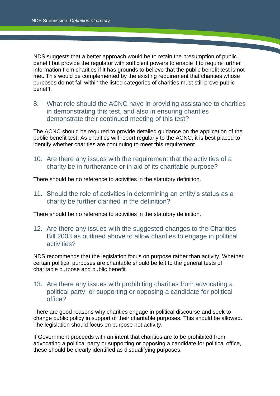NDS suggests that a better approach would be to retain the presumption of public benefit but provide the regulator with sufficient powers to enable it to require further information from charities if it has grounds to believe that the public benefit test is not met. This would be complemented by the existing requirement that charities whose purposes do not fall within the listed categories of charities must still prove public benefit.

8. What role should the ACNC have in providing assistance to charities in demonstrating this test, and also in ensuring charities demonstrate their continued meeting of this test?

The ACNC should be required to provide detailed guidance on the application of the public benefit test. As charities will report regularly to the ACNC, it is best placed to identify whether charities are continuing to meet this requirement.

10. Are there any issues with the requirement that the activities of a charity be in furtherance or in aid of its charitable purpose?

There should be no reference to activities in the statutory definition.

11. Should the role of activities in determining an entity's status as a charity be further clarified in the definition?

There should be no reference to activities in the statutory definition.

12. Are there any issues with the suggested changes to the Charities Bill 2003 as outlined above to allow charities to engage in political activities?

NDS recommends that the legislation focus on purpose rather than activity. Whether certain political purposes are charitable should be left to the general tests of charitable purpose and public benefit.

13. Are there any issues with prohibiting charities from advocating a political party, or supporting or opposing a candidate for political office?

There are good reasons why charities engage in political discourse and seek to change public policy in support of their charitable purposes. This should be allowed. The legislation should focus on purpose not activity.

If Government proceeds with an intent that charities are to be prohibited from advocating a political party or supporting or opposing a candidate for political office, these should be clearly identified as disqualifying purposes.